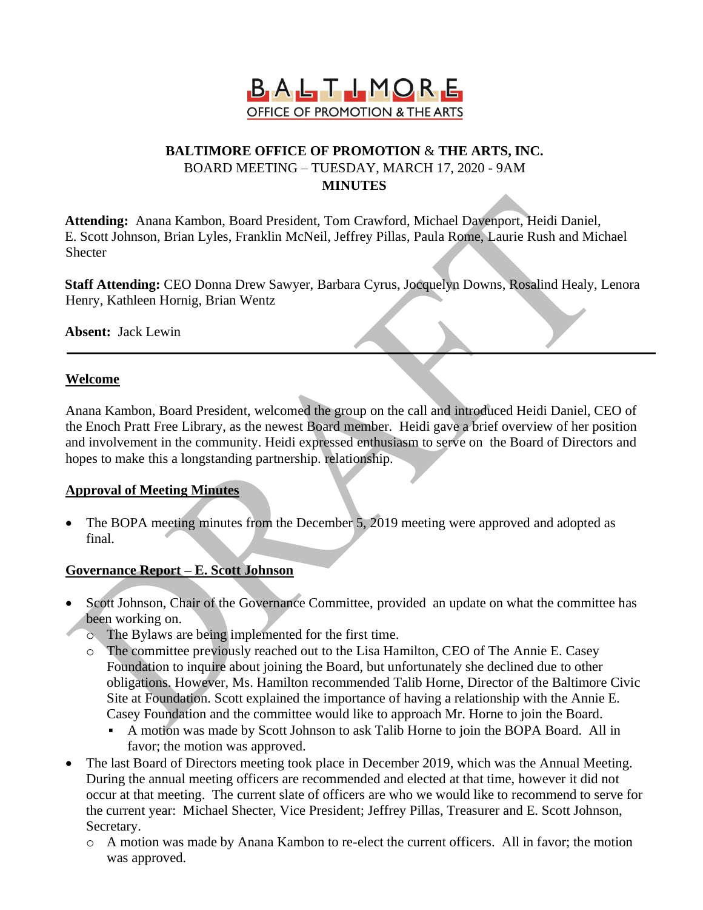

## **BALTIMORE OFFICE OF PROMOTION** & **THE ARTS, INC.** BOARD MEETING – TUESDAY, MARCH 17, 2020 - 9AM **MINUTES**

**Attending:** Anana Kambon, Board President, Tom Crawford, Michael Davenport, Heidi Daniel, E. Scott Johnson, Brian Lyles, Franklin McNeil, Jeffrey Pillas, Paula Rome, Laurie Rush and Michael Shecter

**Staff Attending:** CEO Donna Drew Sawyer, Barbara Cyrus, Jocquelyn Downs, Rosalind Healy, Lenora Henry, Kathleen Hornig, Brian Wentz

**Absent:** Jack Lewin

#### **Welcome**

Anana Kambon, Board President, welcomed the group on the call and introduced Heidi Daniel, CEO of the Enoch Pratt Free Library, as the newest Board member. Heidi gave a brief overview of her position and involvement in the community. Heidi expressed enthusiasm to serve on the Board of Directors and hopes to make this a longstanding partnership. relationship.

## **Approval of Meeting Minutes**

• The BOPA meeting minutes from the December 5, 2019 meeting were approved and adopted as final.

#### **Governance Report – E. Scott Johnson**

- Scott Johnson, Chair of the Governance Committee, provided an update on what the committee has been working on.
	- o The Bylaws are being implemented for the first time.
	- o The committee previously reached out to the Lisa Hamilton, CEO of The Annie E. Casey Foundation to inquire about joining the Board, but unfortunately she declined due to other obligations. However, Ms. Hamilton recommended Talib Horne, Director of the Baltimore Civic Site at Foundation. Scott explained the importance of having a relationship with the Annie E. Casey Foundation and the committee would like to approach Mr. Horne to join the Board.
		- A motion was made by Scott Johnson to ask Talib Horne to join the BOPA Board. All in favor; the motion was approved.
- The last Board of Directors meeting took place in December 2019, which was the Annual Meeting. During the annual meeting officers are recommended and elected at that time, however it did not occur at that meeting. The current slate of officers are who we would like to recommend to serve for the current year: Michael Shecter, Vice President; Jeffrey Pillas, Treasurer and E. Scott Johnson, Secretary.
	- o A motion was made by Anana Kambon to re-elect the current officers. All in favor; the motion was approved.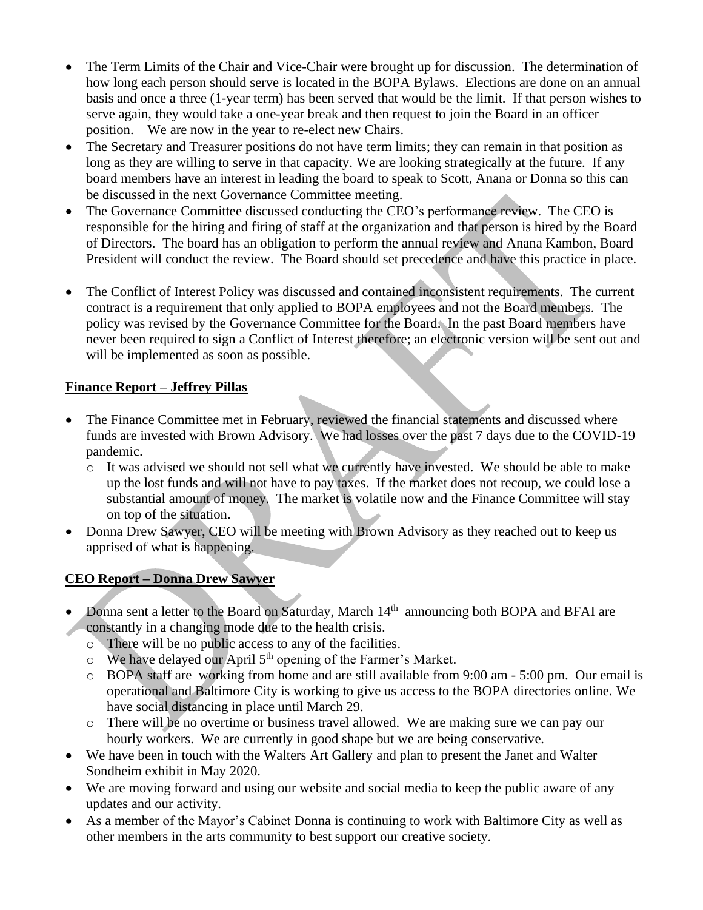- The Term Limits of the Chair and Vice-Chair were brought up for discussion. The determination of how long each person should serve is located in the BOPA Bylaws. Elections are done on an annual basis and once a three (1-year term) has been served that would be the limit. If that person wishes to serve again, they would take a one-year break and then request to join the Board in an officer position. We are now in the year to re-elect new Chairs.
- The Secretary and Treasurer positions do not have term limits; they can remain in that position as long as they are willing to serve in that capacity. We are looking strategically at the future. If any board members have an interest in leading the board to speak to Scott, Anana or Donna so this can be discussed in the next Governance Committee meeting.
- The Governance Committee discussed conducting the CEO's performance review. The CEO is responsible for the hiring and firing of staff at the organization and that person is hired by the Board of Directors. The board has an obligation to perform the annual review and Anana Kambon, Board President will conduct the review. The Board should set precedence and have this practice in place.
- The Conflict of Interest Policy was discussed and contained inconsistent requirements. The current contract is a requirement that only applied to BOPA employees and not the Board members. The policy was revised by the Governance Committee for the Board. In the past Board members have never been required to sign a Conflict of Interest therefore; an electronic version will be sent out and will be implemented as soon as possible.

# **Finance Report – Jeffrey Pillas**

- The Finance Committee met in February, reviewed the financial statements and discussed where funds are invested with Brown Advisory. We had losses over the past 7 days due to the COVID-19 pandemic.
	- o It was advised we should not sell what we currently have invested. We should be able to make up the lost funds and will not have to pay taxes. If the market does not recoup, we could lose a substantial amount of money. The market is volatile now and the Finance Committee will stay on top of the situation.
- Donna Drew Sawyer, CEO will be meeting with Brown Advisory as they reached out to keep us apprised of what is happening.

## **CEO Report – Donna Drew Sawyer**

- Donna sent a letter to the Board on Saturday, March 14th announcing both BOPA and BFAI are constantly in a changing mode due to the health crisis.
	- o There will be no public access to any of the facilities.
	- $\circ$  We have delayed our April 5<sup>th</sup> opening of the Farmer's Market.
	- o BOPA staff are working from home and are still available from 9:00 am 5:00 pm. Our email is operational and Baltimore City is working to give us access to the BOPA directories online. We have social distancing in place until March 29.
	- o There will be no overtime or business travel allowed. We are making sure we can pay our hourly workers. We are currently in good shape but we are being conservative.
- We have been in touch with the Walters Art Gallery and plan to present the Janet and Walter Sondheim exhibit in May 2020.
- We are moving forward and using our website and social media to keep the public aware of any updates and our activity.
- As a member of the Mayor's Cabinet Donna is continuing to work with Baltimore City as well as other members in the arts community to best support our creative society.